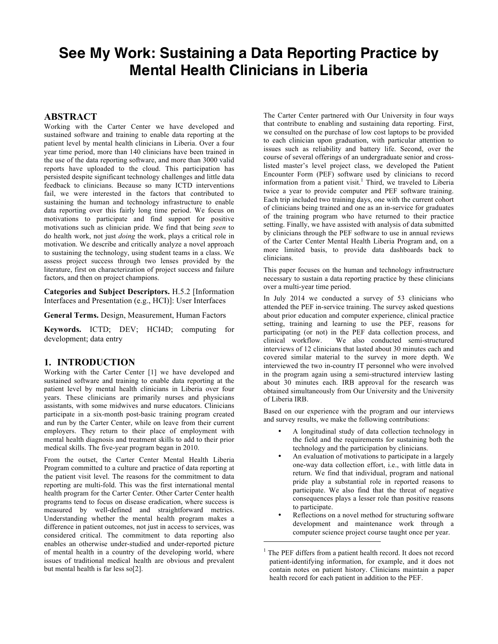# **See My Work: Sustaining a Data Reporting Practice by Mental Health Clinicians in Liberia**

# **ABSTRACT**

Working with the Carter Center we have developed and sustained software and training to enable data reporting at the patient level by mental health clinicians in Liberia. Over a four year time period, more than 140 clinicians have been trained in the use of the data reporting software, and more than 3000 valid reports have uploaded to the cloud. This participation has persisted despite significant technology challenges and little data feedback to clinicians. Because so many ICTD interventions fail, we were interested in the factors that contributed to sustaining the human and technology infrastructure to enable data reporting over this fairly long time period. We focus on motivations to participate and find support for positive motivations such as clinician pride. We find that being *seen* to do health work, not just *doing* the work, plays a critical role in motivation. We describe and critically analyze a novel approach to sustaining the technology, using student teams in a class. We assess project success through two lenses provided by the literature, first on characterization of project success and failure factors, and then on project champions.

**Categories and Subject Descriptors.** H.5.2 [Information Interfaces and Presentation (e.g., HCI)]: User Interfaces

**General Terms.** Design, Measurement, Human Factors

**Keywords.** ICTD; DEV; HCI4D; computing for development; data entry

# **1. INTRODUCTION**

Working with the Carter Center [1] we have developed and sustained software and training to enable data reporting at the patient level by mental health clinicians in Liberia over four years. These clinicians are primarily nurses and physicians assistants, with some midwives and nurse educators. Clinicians participate in a six-month post-basic training program created and run by the Carter Center, while on leave from their current employers. They return to their place of employment with mental health diagnosis and treatment skills to add to their prior medical skills. The five-year program began in 2010.

From the outset, the Carter Center Mental Health Liberia Program committed to a culture and practice of data reporting at the patient visit level. The reasons for the commitment to data reporting are multi-fold. This was the first international mental health program for the Carter Center. Other Carter Center health programs tend to focus on disease eradication, where success is measured by well-defined and straightforward metrics. Understanding whether the mental health program makes a difference in patient outcomes, not just in access to services, was considered critical. The commitment to data reporting also enables an otherwise under-studied and under-reported picture of mental health in a country of the developing world, where issues of traditional medical health are obvious and prevalent but mental health is far less so[2].

The Carter Center partnered with Our University in four ways that contribute to enabling and sustaining data reporting. First, we consulted on the purchase of low cost laptops to be provided to each clinician upon graduation, with particular attention to issues such as reliability and battery life. Second, over the course of several offerings of an undergraduate senior and crosslisted master's level project class, we developed the Patient Encounter Form (PEF) software used by clinicians to record information from a patient visit. 1 Third, we traveled to Liberia twice a year to provide computer and PEF software training. Each trip included two training days, one with the current cohort of clinicians being trained and one as an in-service for graduates of the training program who have returned to their practice setting. Finally, we have assisted with analysis of data submitted by clinicians through the PEF software to use in annual reviews of the Carter Center Mental Health Liberia Program and, on a more limited basis, to provide data dashboards back to clinicians.

This paper focuses on the human and technology infrastructure necessary to sustain a data reporting practice by these clinicians over a multi-year time period.

In July 2014 we conducted a survey of 53 clinicians who attended the PEF in-service training. The survey asked questions about prior education and computer experience, clinical practice setting, training and learning to use the PEF, reasons for participating (or not) in the PEF data collection process, and clinical workflow. We also conducted semi-structured interviews of 12 clinicians that lasted about 30 minutes each and covered similar material to the survey in more depth. We interviewed the two in-country IT personnel who were involved in the program again using a semi-structured interview lasting about 30 minutes each. IRB approval for the research was obtained simultaneously from Our University and the University of Liberia IRB.

Based on our experience with the program and our interviews and survey results, we make the following contributions:

- A longitudinal study of data collection technology in the field and the requirements for sustaining both the technology and the participation by clinicians.
- An evaluation of motivations to participate in a largely one-way data collection effort, i.e., with little data in return. We find that individual, program and national pride play a substantial role in reported reasons to participate. We also find that the threat of negative consequences plays a lesser role than positive reasons to participate.
- Reflections on a novel method for structuring software development and maintenance work through a computer science project course taught once per year.

 $\overline{a}$ 

<sup>1</sup> The PEF differs from a patient health record. It does not record patient-identifying information, for example, and it does not contain notes on patient history. Clinicians maintain a paper health record for each patient in addition to the PEF.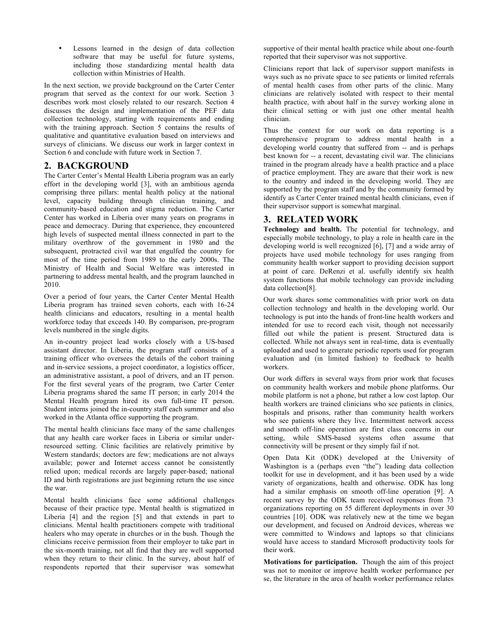Lessons learned in the design of data collection software that may be useful for future systems, including those standardizing mental health data collection within Ministries of Health.

In the next section, we provide background on the Carter Center program that served as the context for our work. Section 3 describes work most closely related to our research. Section 4 discusses the design and implementation of the PEF data collection technology, starting with requirements and ending with the training approach. Section 5 contains the results of qualitative and quantitative evaluation based on interviews and surveys of clinicians. We discuss our work in larger context in Section 6 and conclude with future work in Section 7.

# **2. BACKGROUND**

The Carter Center's Mental Health Liberia program was an early effort in the developing world [3], with an ambitious agenda comprising three pillars: mental health policy at the national level, capacity building through clinician training, and community-based education and stigma reduction. The Carter Center has worked in Liberia over many years on programs in peace and democracy. During that experience, they encountered high levels of suspected mental illness connected in part to the military overthrow of the government in 1980 and the subsequent, protracted civil war that engulfed the country for most of the time period from 1989 to the early 2000s. The Ministry of Health and Social Welfare was interested in partnering to address mental health, and the program launched in 2010.

Over a period of four years, the Carter Center Mental Health Liberia program has trained seven cohorts, each with 16-24 health clinicians and educators, resulting in a mental health workforce today that exceeds 140. By comparison, pre-program levels numbered in the single digits.

An in-country project lead works closely with a US-based assistant director. In Liberia, the program staff consists of a training officer who oversees the details of the cohort training and in-service sessions, a project coordinator, a logistics officer, an administrative assistant, a pool of drivers, and an IT person. For the first several years of the program, two Carter Center Liberia programs shared the same IT person; in early 2014 the Mental Health program hired its own full-time IT person. Student interns joined the in-country staff each summer and also worked in the Atlanta office supporting the program.

The mental health clinicians face many of the same challenges that any health care worker faces in Liberia or similar underresourced setting. Clinic facilities are relatively primitive by Western standards; doctors are few; medications are not always available; power and Internet access cannot be consistently relied upon; medical records are largely paper-based; national ID and birth registrations are just beginning return the use since the war.

Mental health clinicians face some additional challenges because of their practice type. Mental health is stigmatized in Liberia [4] and the region [5] and that extends in part to clinicians. Mental health practitioners compete with traditional healers who may operate in churches or in the bush. Though the clinicians receive permission from their employer to take part in the six-month training, not all find that they are well supported when they return to their clinic. In the survey, about half of respondents reported that their supervisor was somewhat

supportive of their mental health practice while about one-fourth reported that their supervisor was not supportive.

Clinicians report that lack of supervisor support manifests in ways such as no private space to see patients or limited referrals of mental health cases from other parts of the clinic. Many clinicians are relatively isolated with respect to their mental health practice, with about half in the survey working alone in their clinical setting or with just one other mental health clinician.

Thus the context for our work on data reporting is a comprehensive program to address mental health in a developing world country that suffered from -- and is perhaps best known for -- a recent, devastating civil war. The clinicians trained in the program already have a health practice and a place of practice employment. They are aware that their work is new to the country and indeed in the developing world. They are supported by the program staff and by the community formed by identify as Carter Center trained mental health clinicians, even if their supervisor support is somewhat marginal.

# **3. RELATED WORK**

**Technology and health.** The potential for technology, and especially mobile technology, to play a role in health care in the developing world is well recognized [6], [7] and a wide array of projects have used mobile technology for uses ranging from community health worker support to providing decision support at point of care. DeRenzi et al. usefully identify six health system functions that mobile technology can provide including data collection[8].

Our work shares some commonalities with prior work on data collection technology and health in the developing world. Our technology is put into the hands of front-line health workers and intended for use to record each visit, though not necessarily filled out while the patient is present. Structured data is collected. While not always sent in real-time, data is eventually uploaded and used to generate periodic reports used for program evaluation and (in limited fashion) to feedback to health workers.

Our work differs in several ways from prior work that focuses on community health workers and mobile phone platforms. Our mobile platform is not a phone, but rather a low cost laptop. Our health workers are trained clinicians who see patients in clinics, hospitals and prisons, rather than community health workers who see patients where they live. Intermittent network access and smooth off-line operation are first class concerns in our setting, while SMS-based systems often assume that connectivity will be present or they simply fail if not.

Open Data Kit (ODK) developed at the University of Washington is a (perhaps even "the") leading data collection toolkit for use in development, and it has been used by a wide variety of organizations, health and otherwise. ODK has long had a similar emphasis on smooth off-line operation [9]. A recent survey by the ODK team received responses from 73 organizations reporting on 55 different deployments in over 30 countries [10]. ODK was relatively new at the time we began our development, and focused on Android devices, whereas we were committed to Windows and laptops so that clinicians would have access to standard Microsoft productivity tools for their work.

**Motivations for participation.** Though the aim of this project was not to monitor or improve health worker performance per se, the literature in the area of health worker performance relates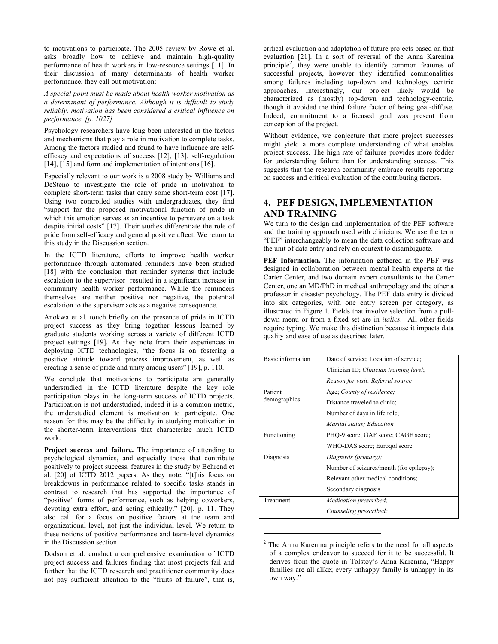to motivations to participate. The 2005 review by Rowe et al. asks broadly how to achieve and maintain high-quality performance of health workers in low-resource settings [11]. In their discussion of many determinants of health worker performance, they call out motivation:

*A special point must be made about health worker motivation as a determinant of performance. Although it is difficult to study reliably, motivation has been considered a critical influence on performance. [p. 1027]*

Psychology researchers have long been interested in the factors and mechanisms that play a role in motivation to complete tasks. Among the factors studied and found to have influence are selfefficacy and expectations of success [12], [13], self-regulation [14], [15] and form and implementation of intentions [16].

Especially relevant to our work is a 2008 study by Williams and DeSteno to investigate the role of pride in motivation to complete short-term tasks that carry some short-term cost [17]. Using two controlled studies with undergraduates, they find "support for the proposed motivational function of pride in which this emotion serves as an incentive to persevere on a task despite initial costs" [17]. Their studies differentiate the role of pride from self-efficacy and general positive affect. We return to this study in the Discussion section.

In the ICTD literature, efforts to improve health worker performance through automated reminders have been studied [18] with the conclusion that reminder systems that include escalation to the supervisor resulted in a significant increase in community health worker performance. While the reminders themselves are neither positive nor negative, the potential escalation to the supervisor acts as a negative consequence.

Anokwa et al. touch briefly on the presence of pride in ICTD project success as they bring together lessons learned by graduate students working across a variety of different ICTD project settings [19]. As they note from their experiences in deploying ICTD technologies, "the focus is on fostering a positive attitude toward process improvement, as well as creating a sense of pride and unity among users" [19], p. 110.

We conclude that motivations to participate are generally understudied in the ICTD literature despite the key role participation plays in the long-term success of ICTD projects. Participation is not understudied, indeed it is a common metric, the understudied element is motivation to participate. One reason for this may be the difficulty in studying motivation in the shorter-term interventions that characterize much ICTD work.

Project success and failure. The importance of attending to psychological dynamics, and especially those that contribute positively to project success, features in the study by Behrend et al. [20] of ICTD 2012 papers. As they note, "[t]his focus on breakdowns in performance related to specific tasks stands in contrast to research that has supported the importance of "positive" forms of performance, such as helping coworkers, devoting extra effort, and acting ethically." [20], p. 11. They also call for a focus on positive factors at the team and organizational level, not just the individual level. We return to these notions of positive performance and team-level dynamics in the Discussion section.

Dodson et al. conduct a comprehensive examination of ICTD project success and failures finding that most projects fail and further that the ICTD research and practitioner community does not pay sufficient attention to the "fruits of failure", that is,

critical evaluation and adaptation of future projects based on that evaluation [21]. In a sort of reversal of the Anna Karenina principle<sup>2</sup>, they were unable to identify common features of successful projects, however they identified commonalities among failures including top-down and technology centric approaches. Interestingly, our project likely would be characterized as (mostly) top-down and technology-centric, though it avoided the third failure factor of being goal-diffuse. Indeed, commitment to a focused goal was present from conception of the project.

Without evidence, we conjecture that more project successes might yield a more complete understanding of what enables project success. The high rate of failures provides more fodder for understanding failure than for understanding success. This suggests that the research community embrace results reporting on success and critical evaluation of the contributing factors.

# **4. PEF DESIGN, IMPLEMENTATION AND TRAINING**

We turn to the design and implementation of the PEF software and the training approach used with clinicians. We use the term "PEF" interchangeably to mean the data collection software and the unit of data entry and rely on context to disambiguate.

**PEF Information.** The information gathered in the PEF was designed in collaboration between mental health experts at the Carter Center, and two domain expert consultants to the Carter Center, one an MD/PhD in medical anthropology and the other a professor in disaster psychology. The PEF data entry is divided into six categories, with one entry screen per category, as illustrated in Figure 1. Fields that involve selection from a pulldown menu or from a fixed set are in *italics.* All other fields require typing. We make this distinction because it impacts data quality and ease of use as described later.

| Basic information       | Date of service; Location of service;    |  |  |
|-------------------------|------------------------------------------|--|--|
|                         | Clinician ID; Clinician training level;  |  |  |
|                         | Reason for visit; Referral source        |  |  |
| Patient<br>demographics | Age; County of residence;                |  |  |
|                         | Distance traveled to clinic;             |  |  |
|                         | Number of days in life role;             |  |  |
|                         | Marital status; Education                |  |  |
| Functioning             | PHQ-9 score; GAF score; CAGE score;      |  |  |
|                         | WHO-DAS score; Euroqol score             |  |  |
| Diagnosis               | Diagnosis (primary);                     |  |  |
|                         | Number of seizures/month (for epilepsy); |  |  |
|                         | Relevant other medical conditions;       |  |  |
|                         | Secondary diagnosis                      |  |  |
| Treatment               | <i>Medication prescribed;</i>            |  |  |
|                         | Counseling prescribed;                   |  |  |

 $2$  The Anna Karenina principle refers to the need for all aspects of a complex endeavor to succeed for it to be successful. It derives from the quote in Tolstoy's Anna Karenina, "Happy families are all alike; every unhappy family is unhappy in its own way."

 $\overline{a}$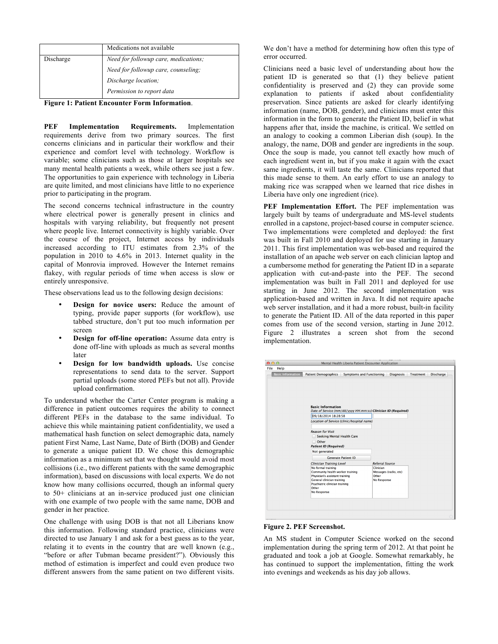|           | Medications not available            |  |
|-----------|--------------------------------------|--|
| Discharge | Need for followup care, medications; |  |
|           | Need for followup care, counseling;  |  |
|           | Discharge location;                  |  |
|           | Permission to report data            |  |

**Figure 1: Patient Encounter Form Information**.

**PEF Implementation Requirements.** Implementation requirements derive from two primary sources. The first concerns clinicians and in particular their workflow and their experience and comfort level with technology. Workflow is variable; some clinicians such as those at larger hospitals see many mental health patients a week, while others see just a few. The opportunities to gain experience with technology in Liberia are quite limited, and most clinicians have little to no experience prior to participating in the program.

The second concerns technical infrastructure in the country where electrical power is generally present in clinics and hospitals with varying reliability, but frequently not present where people live. Internet connectivity is highly variable. Over the course of the project, Internet access by individuals increased according to ITU estimates from 2.3% of the population in 2010 to 4.6% in 2013. Internet quality in the capital of Monrovia improved. However the Internet remains flakey, with regular periods of time when access is slow or entirely unresponsive.

These observations lead us to the following design decisions:

- Design for novice users: Reduce the amount of typing, provide paper supports (for workflow), use tabbed structure, don't put too much information per screen
- **Design for off-line operation:** Assume data entry is done off-line with uploads as much as several months later
- **Design for low bandwidth uploads.** Use concise representations to send data to the server. Support partial uploads (some stored PEFs but not all). Provide upload confirmation.

To understand whether the Carter Center program is making a difference in patient outcomes requires the ability to connect different PEFs in the database to the same individual. To achieve this while maintaining patient confidentiality, we used a mathematical hash function on select demographic data, namely patient First Name, Last Name, Date of Birth (DOB) and Gender to generate a unique patient ID. We chose this demographic information as a minimum set that we thought would avoid most collisions (i.e., two different patients with the same demographic information), based on discussions with local experts. We do not know how many collisions occurred, though an informal query to 50+ clinicians at an in-service produced just one clinician with one example of two people with the same name, DOB and gender in her practice.

One challenge with using DOB is that not all Liberians know this information. Following standard practice, clinicians were directed to use January 1 and ask for a best guess as to the year, relating it to events in the country that are well known (e.g., "before or after Tubman became president?"). Obviously this method of estimation is imperfect and could even produce two different answers from the same patient on two different visits. We don't have a method for determining how often this type of error occurred.

Clinicians need a basic level of understanding about how the patient ID is generated so that (1) they believe patient confidentiality is preserved and (2) they can provide some explanation to patients if asked about confidentiality preservation. Since patients are asked for clearly identifying information (name, DOB, gender), and clinicians must enter this information in the form to generate the Patient ID, belief in what happens after that, inside the machine, is critical. We settled on an analogy to cooking a common Liberian dish (soup). In the analogy, the name, DOB and gender are ingredients in the soup. Once the soup is made, you cannot tell exactly how much of each ingredient went in, but if you make it again with the exact same ingredients, it will taste the same. Clinicians reported that this made sense to them. An early effort to use an analogy to making rice was scrapped when we learned that rice dishes in Liberia have only one ingredient (rice).

**PEF Implementation Effort.** The PEF implementation was largely built by teams of undergraduate and MS-level students enrolled in a capstone, project-based course in computer science. Two implementations were completed and deployed: the first was built in Fall 2010 and deployed for use starting in January 2011. This first implementation was web-based and required the installation of an apache web server on each clinician laptop and a cumbersome method for generating the Patient ID in a separate application with cut-and-paste into the PEF. The second implementation was built in Fall 2011 and deployed for use starting in June 2012. The second implementation was application-based and written in Java. It did not require apache web server installation, and it had a more robust, built-in facility to generate the Patient ID. All of the data reported in this paper comes from use of the second version, starting in June 2012. Figure 2 illustrates a screen shot from the second implementation.



**Figure 2. PEF Screenshot.**

An MS student in Computer Science worked on the second implementation during the spring term of 2012. At that point he graduated and took a job at Google. Somewhat remarkably, he has continued to support the implementation, fitting the work into evenings and weekends as his day job allows.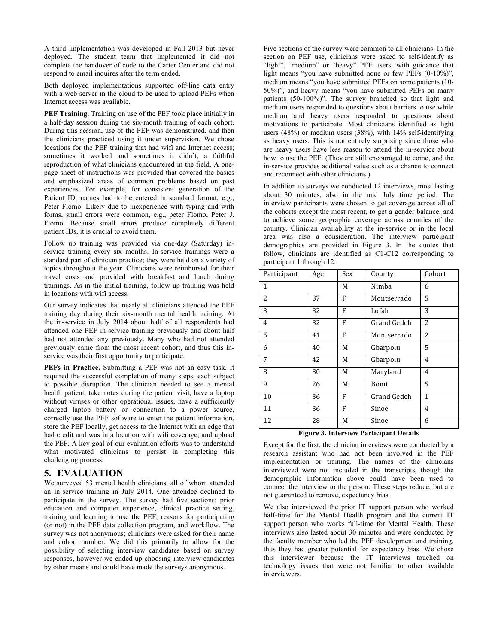A third implementation was developed in Fall 2013 but never deployed. The student team that implemented it did not complete the handover of code to the Carter Center and did not respond to email inquires after the term ended.

Both deployed implementations supported off-line data entry with a web server in the cloud to be used to upload PEFs when Internet access was available.

**PEF Training.** Training on use of the PEF took place initially in a half-day session during the six-month training of each cohort. During this session, use of the PEF was demonstrated, and then the clinicians practiced using it under supervision. We chose locations for the PEF training that had wifi and Internet access; sometimes it worked and sometimes it didn't, a faithful reproduction of what clinicians encountered in the field. A onepage sheet of instructions was provided that covered the basics and emphasized areas of common problems based on past experiences. For example, for consistent generation of the Patient ID, names had to be entered in standard format, e.g., Peter Flomo. Likely due to inexperience with typing and with forms, small errors were common, e.g., peter Flomo, Peter J. Flomo. Because small errors produce completely different patient IDs, it is crucial to avoid them.

Follow up training was provided via one-day (Saturday) inservice training every six months. In-service trainings were a standard part of clinician practice; they were held on a variety of topics throughout the year. Clinicians were reimbursed for their travel costs and provided with breakfast and lunch during trainings. As in the initial training, follow up training was held in locations with wifi access.

Our survey indicates that nearly all clinicians attended the PEF training day during their six-month mental health training. At the in-service in July 2014 about half of all respondents had attended one PEF in-service training previously and about half had not attended any previously. Many who had not attended previously came from the most recent cohort, and thus this inservice was their first opportunity to participate.

**PEFs in Practice.** Submitting a PEF was not an easy task. It required the successful completion of many steps, each subject to possible disruption. The clinician needed to see a mental health patient, take notes during the patient visit, have a laptop without viruses or other operational issues, have a sufficiently charged laptop battery or connection to a power source, correctly use the PEF software to enter the patient information, store the PEF locally, get access to the Internet with an edge that had credit and was in a location with wifi coverage, and upload the PEF. A key goal of our evaluation efforts was to understand what motivated clinicians to persist in completing this challenging process.

### **5. EVALUATION**

We surveyed 53 mental health clinicians, all of whom attended an in-service training in July 2014. One attendee declined to participate in the survey. The survey had five sections: prior education and computer experience, clinical practice setting, training and learning to use the PEF, reasons for participating (or not) in the PEF data collection program, and workflow. The survey was not anonymous; clinicians were asked for their name and cohort number. We did this primarily to allow for the possibility of selecting interview candidates based on survey responses, however we ended up choosing interview candidates by other means and could have made the surveys anonymous.

Five sections of the survey were common to all clinicians. In the section on PEF use, clinicians were asked to self-identify as "light", "medium" or "heavy" PEF users, with guidance that light means "you have submitted none or few PEFs (0-10%)", medium means "you have submitted PEFs on some patients (10- 50%)", and heavy means "you have submitted PEFs on many patients (50-100%)". The survey branched so that light and medium users responded to questions about barriers to use while medium and heavy users responded to questions about motivations to participate. Most clinicians identified as light users (48%) or medium users (38%), with 14% self-identifying as heavy users. This is not entirely surprising since those who are heavy users have less reason to attend the in-service about how to use the PEF. (They are still encouraged to come, and the in-service provides additional value such as a chance to connect and reconnect with other clinicians.)

In addition to surveys we conducted 12 interviews, most lasting about 30 minutes, also in the mid July time period. The interview participants were chosen to get coverage across all of the cohorts except the most recent, to get a gender balance, and to achieve some geographic coverage across counties of the country. Clinician availability at the in-service or in the local area was also a consideration. The interview participant demographics are provided in Figure 3. In the quotes that follow, clinicians are identified as C1-C12 corresponding to participant 1 through 12.

| Participant                               | <u>Age</u> | <b>Sex</b> | County             | Cohort         |  |  |  |
|-------------------------------------------|------------|------------|--------------------|----------------|--|--|--|
| $\mathbf{1}$                              |            | М          | Nimba              | 6              |  |  |  |
| 2                                         | 37         | F          | Montserrado        | 5              |  |  |  |
| 3                                         | 32         | F          | Lofah              | 3              |  |  |  |
| 4                                         | 32         | F          | Grand Gedeh        | $\overline{c}$ |  |  |  |
| 5                                         | 41         | F          | Montserrado        | $\overline{c}$ |  |  |  |
| 6                                         | 40         | М          | Gbarpolu           | 5              |  |  |  |
| 7                                         | 42         | M          | Gbarpolu           | 4              |  |  |  |
| 8                                         | 30         | М          | Maryland           | 4              |  |  |  |
| 9                                         | 26         | М          | Bomi               | 5              |  |  |  |
| 10                                        | 36         | F          | <b>Grand Gedeh</b> | $\mathbf{1}$   |  |  |  |
| 11                                        | 36         | F          | Sinoe              | 4              |  |  |  |
| 12                                        | 28         | M          | Sinoe              | 6              |  |  |  |
| Figure 2. Interview Devticing the Details |            |            |                    |                |  |  |  |

#### **Figure 3. Interview Participant Details**

Except for the first, the clinician interviews were conducted by a research assistant who had not been involved in the PEF implementation or training. The names of the clinicians interviewed were not included in the transcripts, though the demographic information above could have been used to connect the interview to the person. These steps reduce, but are not guaranteed to remove, expectancy bias.

We also interviewed the prior IT support person who worked half-time for the Mental Health program and the current IT support person who works full-time for Mental Health. These interviews also lasted about 30 minutes and were conducted by the faculty member who led the PEF development and training, thus they had greater potential for expectancy bias. We chose this interviewer because the IT interviews touched on technology issues that were not familiar to other available interviewers.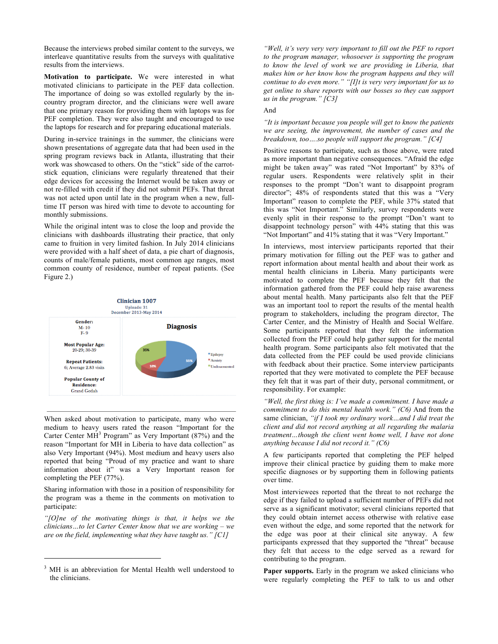Because the interviews probed similar content to the surveys, we interleave quantitative results from the surveys with qualitative results from the interviews.

**Motivation to participate.** We were interested in what motivated clinicians to participate in the PEF data collection. The importance of doing so was extolled regularly by the incountry program director, and the clinicians were well aware that one primary reason for providing them with laptops was for PEF completion. They were also taught and encouraged to use the laptops for research and for preparing educational materials.

During in-service trainings in the summer, the clinicians were shown presentations of aggregate data that had been used in the spring program reviews back in Atlanta, illustrating that their work was showcased to others. On the "stick" side of the carrotstick equation, clinicians were regularly threatened that their edge devices for accessing the Internet would be taken away or not re-filled with credit if they did not submit PEFs. That threat was not acted upon until late in the program when a new, fulltime IT person was hired with time to devote to accounting for monthly submissions.

While the original intent was to close the loop and provide the clinicians with dashboards illustrating their practice, that only came to fruition in very limited fashion. In July 2014 clinicians were provided with a half sheet of data, a pie chart of diagnosis, counts of male/female patients, most common age ranges, most common county of residence, number of repeat patients. (See Figure 2.)



When asked about motivation to participate, many who were medium to heavy users rated the reason "Important for the Carter Center  $MH<sup>3</sup>$  Program" as Very Important (87%) and the reason "Important for MH in Liberia to have data collection" as also Very Important (94%). Most medium and heavy users also reported that being "Proud of my practice and want to share information about it" was a Very Important reason for completing the PEF (77%).

Sharing information with those in a position of responsibility for the program was a theme in the comments on motivation to participate:

*"[O]ne of the motivating things is that, it helps we the clinicians…to let Carter Center know that we are working – we are on the field, implementing what they have taught us." [C1]*

 $\overline{a}$ 

*"Well, it's very very very important to fill out the PEF to report to the program manager, whosoever is supporting the program*  to know the level of work we are providing in Liberia, that *makes him or her know how the program happens and they will continue to do even more." "[I]t is very very important for us to get online to share reports with our bosses so they can support us in the program." [C3]*

#### And

#### *"It is important because you people will get to know the patients we are seeing, the improvement, the number of cases and the breakdown, too….so people will support the program." [C4]*

Positive reasons to participate, such as those above, were rated as more important than negative consequences. "Afraid the edge might be taken away" was rated "Not Important" by 83% of regular users. Respondents were relatively split in their responses to the prompt "Don't want to disappoint program director"; 48% of respondents stated that this was a "Very Important" reason to complete the PEF, while 37% stated that this was "Not Important." Similarly, survey respondents were evenly split in their response to the prompt "Don't want to disappoint technology person" with 44% stating that this was "Not Important" and 41% stating that it was "Very Important."

In interviews, most interview participants reported that their primary motivation for filling out the PEF was to gather and report information about mental health and about their work as mental health clinicians in Liberia. Many participants were motivated to complete the PEF because they felt that the information gathered from the PEF could help raise awareness about mental health. Many participants also felt that the PEF was an important tool to report the results of the mental health program to stakeholders, including the program director, The Carter Center, and the Ministry of Health and Social Welfare. Some participants reported that they felt the information collected from the PEF could help gather support for the mental health program. Some participants also felt motivated that the data collected from the PEF could be used provide clinicians with feedback about their practice. Some interview participants reported that they were motivated to complete the PEF because they felt that it was part of their duty, personal commitment, or responsibility. For example:

*"Well, the first thing is: I've made a commitment. I have made a commitment to do this mental health work." (C6)* And from the same clinician, *"if I took my ordinary work…and I did treat the client and did not record anything at all regarding the malaria treatment…though the client went home well, I have not done anything because I did not record it." (C6)*

A few participants reported that completing the PEF helped improve their clinical practice by guiding them to make more specific diagnoses or by supporting them in following patients over time.

Most interviewees reported that the threat to not recharge the edge if they failed to upload a sufficient number of PEFs did not serve as a significant motivator; several clinicians reported that they could obtain internet access otherwise with relative ease even without the edge, and some reported that the network for the edge was poor at their clinical site anyway. A few participants expressed that they supported the "threat" because they felt that access to the edge served as a reward for contributing to the program.

**Paper supports.** Early in the program we asked clinicians who were regularly completing the PEF to talk to us and other

<sup>3</sup> MH is an abbreviation for Mental Health well understood to the clinicians.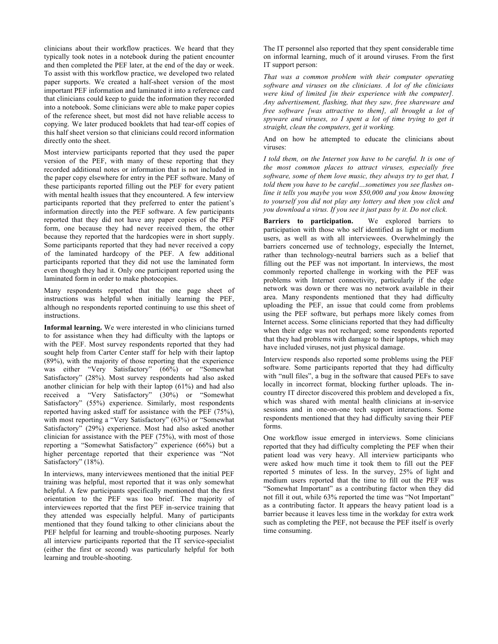clinicians about their workflow practices. We heard that they typically took notes in a notebook during the patient encounter and then completed the PEF later, at the end of the day or week. To assist with this workflow practice, we developed two related paper supports. We created a half-sheet version of the most important PEF information and laminated it into a reference card that clinicians could keep to guide the information they recorded into a notebook. Some clinicians were able to make paper copies of the reference sheet, but most did not have reliable access to copying. We later produced booklets that had tear-off copies of this half sheet version so that clinicians could record information directly onto the sheet.

Most interview participants reported that they used the paper version of the PEF, with many of these reporting that they recorded additional notes or information that is not included in the paper copy elsewhere for entry in the PEF software. Many of these participants reported filling out the PEF for every patient with mental health issues that they encountered. A few interview participants reported that they preferred to enter the patient's information directly into the PEF software. A few participants reported that they did not have any paper copies of the PEF form, one because they had never received them, the other because they reported that the hardcopies were in short supply. Some participants reported that they had never received a copy of the laminated hardcopy of the PEF. A few additional participants reported that they did not use the laminated form even though they had it. Only one participant reported using the laminated form in order to make photocopies.

Many respondents reported that the one page sheet of instructions was helpful when initially learning the PEF, although no respondents reported continuing to use this sheet of instructions.

**Informal learning.** We were interested in who clinicians turned to for assistance when they had difficulty with the laptops or with the PEF. Most survey respondents reported that they had sought help from Carter Center staff for help with their laptop (89%), with the majority of those reporting that the experience was either "Very Satisfactory" (66%) or "Somewhat Satisfactory" (28%). Most survey respondents had also asked another clinician for help with their laptop (61%) and had also received a "Very Satisfactory" (30%) or "Somewhat Satisfactory" (55%) experience. Similarly, most respondents reported having asked staff for assistance with the PEF (75%), with most reporting a "Very Satisfactory" (63%) or "Somewhat Satisfactory" (29%) experience. Most had also asked another clinician for assistance with the PEF (75%), with most of those reporting a "Somewhat Satisfactory" experience (66%) but a higher percentage reported that their experience was "Not Satisfactory" (18%).

In interviews, many interviewees mentioned that the initial PEF training was helpful, most reported that it was only somewhat helpful. A few participants specifically mentioned that the first orientation to the PEF was too brief. The majority of interviewees reported that the first PEF in-service training that they attended was especially helpful. Many of participants mentioned that they found talking to other clinicians about the PEF helpful for learning and trouble-shooting purposes. Nearly all interview participants reported that the IT service-specialist (either the first or second) was particularly helpful for both learning and trouble-shooting.

The IT personnel also reported that they spent considerable time on informal learning, much of it around viruses. From the first IT support person:

*That was a common problem with their computer operating software and viruses on the clinicians. A lot of the clinicians were kind of limited [in their experience with the computer]. Any advertisement, flashing, that they saw, free shareware and free software [was attractive to them], all brought a lot of spyware and viruses, so I spent a lot of time trying to get it straight, clean the computers, get it working.*

And on how he attempted to educate the clinicians about viruses:

*I told them, on the Internet you have to be careful. It is one of the most common places to attract viruses, especially free software, some of them love music, they always try to get that, I told them you have to be careful…sometimes you see flashes online it tells you maybe you won \$50,000 and you know knowing to yourself you did not play any lottery and then you click and you download a virus. If you see it just pass by it. Do not click.*

**Barriers to participation.** We explored barriers to participation with those who self identified as light or medium users, as well as with all interviewees. Overwhelmingly the barriers concerned use of technology, especially the Internet, rather than technology-neutral barriers such as a belief that filling out the PEF was not important. In interviews, the most commonly reported challenge in working with the PEF was problems with Internet connectivity, particularly if the edge network was down or there was no network available in their area. Many respondents mentioned that they had difficulty uploading the PEF, an issue that could come from problems using the PEF software, but perhaps more likely comes from Internet access. Some clinicians reported that they had difficulty when their edge was not recharged; some respondents reported that they had problems with damage to their laptops, which may have included viruses, not just physical damage.

Interview responds also reported some problems using the PEF software. Some participants reported that they had difficulty with "null files", a bug in the software that caused PEFs to save locally in incorrect format, blocking further uploads. The incountry IT director discovered this problem and developed a fix, which was shared with mental health clinicians at in-service sessions and in one-on-one tech support interactions. Some respondents mentioned that they had difficulty saving their PEF forms.

One workflow issue emerged in interviews. Some clinicians reported that they had difficulty completing the PEF when their patient load was very heavy. All interview participants who were asked how much time it took them to fill out the PEF reported 5 minutes of less. In the survey, 25% of light and medium users reported that the time to fill out the PEF was "Somewhat Important" as a contributing factor when they did not fill it out, while 63% reported the time was "Not Important" as a contributing factor. It appears the heavy patient load is a barrier because it leaves less time in the workday for extra work such as completing the PEF, not because the PEF itself is overly time consuming.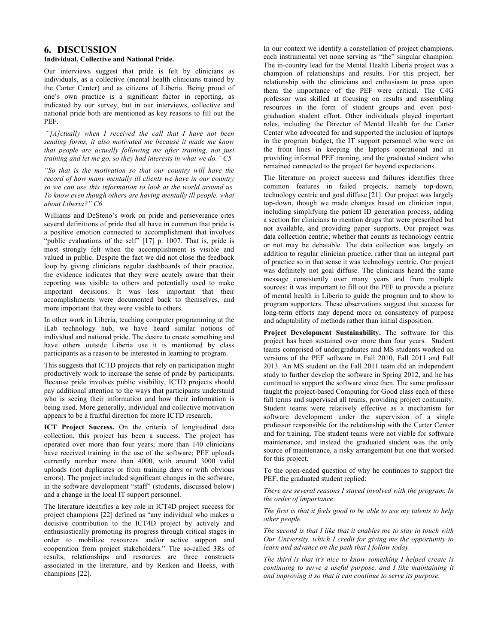# **6. DISCUSSION**

#### **Individual, Collective and National Pride.**

Our interviews suggest that pride is felt by clinicians as individuals, as a collective (mental health clinicians trained by the Carter Center) and as citizens of Liberia. Being proud of one's own practice is a significant factor in reporting, as indicated by our survey, but in our interviews, collective and national pride both are mentioned as key reasons to fill out the PEF.

*"[A]ctually when I received the call that I have not been sending forms, it also motivated me because it made me know that people are actually following me after training, not just training and let me go, so they had interests in what we do." C5*

*"So that is the motivation so that our country will have the record of how many mentally ill clients we have in our country so we can use this information to look at the world around us. To know even though others are having mentally ill people, what about Liberia?" C6* 

Williams and DeSteno's work on pride and perseverance cites several definitions of pride that all have in common that pride is a positive emotion connected to accomplishment that involves "public evaluations of the self" [17] p. 1007. That is, pride is most strongly felt when the accomplishment is visible and valued in public. Despite the fact we did not close the feedback loop by giving clinicians regular dashboards of their practice, the evidence indicates that they were acutely aware that their reporting was visible to others and potentially used to make important decisions. It was less important that their accomplishments were documented back to themselves, and more important that they were visible to others.

In other work in Liberia, teaching computer programming at the iLab technology hub, we have heard similar notions of individual and national pride. The desire to create something and have others outside Liberia use it is mentioned by class participants as a reason to be interested in learning to program.

This suggests that ICTD projects that rely on participation might productively work to increase the sense of pride by participants. Because pride involves public visibility, ICTD projects should pay additional attention to the ways that participants understand who is seeing their information and how their information is being used. More generally, individual and collective motivation appears to be a fruitful direction for more ICTD research.

**ICT Project Success.** On the criteria of longitudinal data collection, this project has been a success. The project has operated over more than four years; more than 140 clinicians have received training in the use of the software; PEF uploads currently number more than 4000, with around 3000 valid uploads (not duplicates or from training days or with obvious errors). The project included significant changes in the software, in the software development "staff" (students, discussed below) and a change in the local IT support personnel.

The literature identifies a key role in ICT4D project success for project champions [22] defined as "any individual who makes a decisive contribution to the ICT4D project by actively and enthusiastically promoting its progress through critical stages in order to mobilize resources and/or active support and cooperation from project stakeholders." The so-called 3Rs of results, relationships and resources are three constructs associated in the literature, and by Renken and Heeks, with champions [22].

In our context we identify a constellation of project champions, each instrumental yet none serving as "the" singular champion. The in-country lead for the Mental Health Liberia project was a champion of relationships and results. For this project, her relationship with the clinicians and enthusiasm to press upon them the importance of the PEF were critical. The C4G professor was skilled at focusing on results and assembling resources in the form of student groups and even postgraduation student effort. Other individuals played important roles, including the Director of Mental Health for the Carter Center who advocated for and supported the inclusion of laptops in the program budget, the IT support personnel who were on the front lines in keeping the laptops operational and in providing informal PEF training, and the graduated student who remained connected to the project far beyond expectations.

The literature on project success and failures identifies three common features in failed projects, namely top-down, technology centric and goal diffuse [21]. Our project was largely top-down, though we made changes based on clinician input, including simplifying the patient ID generation process, adding a section for clinicians to mention drugs that were prescribed but not available, and providing paper supports. Our project was data collection centric; whether that counts as technology centric or not may be debatable. The data collection was largely an addition to regular clinician practice, rather than an integral part of practice so in that sense it was technology centric. Our project was definitely not goal diffuse. The clinicians heard the same message consistently over many years and from multiple sources: it was important to fill out the PEF to provide a picture of mental health in Liberia to guide the program and to show to program supporters. These observations suggest that success for long-term efforts may depend more on consistency of purpose and adaptability of methods rather than initial disposition.

**Project Development Sustainability.** The software for this project has been sustained over more than four years. Student teams comprised of undergraduates and MS students worked on versions of the PEF software in Fall 2010, Fall 2011 and Fall 2013. An MS student on the Fall 2011 team did an independent study to further develop the software in Spring 2012, and he has continued to support the software since then. The same professor taught the project-based Computing for Good class each of these fall terms and supervised all teams, providing project continuity. Student teams were relatively effective as a mechanism for software development under the supervision of a single professor responsible for the relationship with the Carter Center and for training. The student teams were not viable for software maintenance, and instead the graduated student was the only source of maintenance, a risky arrangement but one that worked for this project.

To the open-ended question of why he continues to support the PEF, the graduated student replied:

*There are several reasons I stayed involved with the program. In the order of importance:*

*The first is that it feels good to be able to use my talents to help other people.*

*The second is that I like that it enables me to stay in touch with Our University, which I credit for giving me the opportunity to learn and advance on the path that I follow today.*

*The third is that it's nice to know something I helped create is continuing to serve a useful purpose, and I like maintaining it and improving it so that it can continue to serve its purpose.*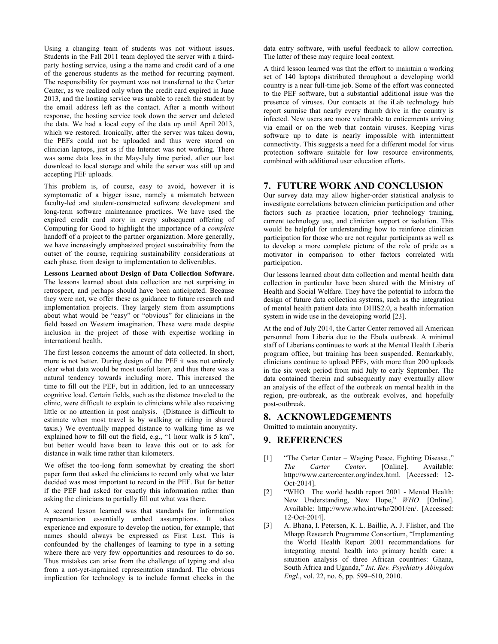Using a changing team of students was not without issues. Students in the Fall 2011 team deployed the server with a thirdparty hosting service, using a the name and credit card of a one of the generous students as the method for recurring payment. The responsibility for payment was not transferred to the Carter Center, as we realized only when the credit card expired in June 2013, and the hosting service was unable to reach the student by the email address left as the contact. After a month without response, the hosting service took down the server and deleted the data. We had a local copy of the data up until April 2013, which we restored. Ironically, after the server was taken down, the PEFs could not be uploaded and thus were stored on clinician laptops, just as if the Internet was not working. There was some data loss in the May-July time period, after our last download to local storage and while the server was still up and accepting PEF uploads.

This problem is, of course, easy to avoid, however it is symptomatic of a bigger issue, namely a mismatch between faculty-led and student-constructed software development and long-term software maintenance practices. We have used the expired credit card story in every subsequent offering of Computing for Good to highlight the importance of a *complete* handoff of a project to the partner organization. More generally, we have increasingly emphasized project sustainability from the outset of the course, requiring sustainability considerations at each phase, from design to implementation to deliverables.

#### **Lessons Learned about Design of Data Collection Software.**

The lessons learned about data collection are not surprising in retrospect, and perhaps should have been anticipated. Because they were not, we offer these as guidance to future research and implementation projects. They largely stem from assumptions about what would be "easy" or "obvious" for clinicians in the field based on Western imagination. These were made despite inclusion in the project of those with expertise working in international health.

The first lesson concerns the amount of data collected. In short, more is not better. During design of the PEF it was not entirely clear what data would be most useful later, and thus there was a natural tendency towards including more. This increased the time to fill out the PEF, but in addition, led to an unnecessary cognitive load. Certain fields, such as the distance traveled to the clinic, were difficult to explain to clinicians while also receiving little or no attention in post analysis. (Distance is difficult to estimate when most travel is by walking or riding in shared taxis.) We eventually mapped distance to walking time as we explained how to fill out the field, e.g., "1 hour walk is 5 km", but better would have been to leave this out or to ask for distance in walk time rather than kilometers.

We offset the too-long form somewhat by creating the short paper form that asked the clinicians to record only what we later decided was most important to record in the PEF. But far better if the PEF had asked for exactly this information rather than asking the clinicians to partially fill out what was there.

A second lesson learned was that standards for information representation essentially embed assumptions. It takes experience and exposure to develop the notion, for example, that names should always be expressed as First Last. This is confounded by the challenges of learning to type in a setting where there are very few opportunities and resources to do so. Thus mistakes can arise from the challenge of typing and also from a not-yet-ingrained representation standard. The obvious implication for technology is to include format checks in the

data entry software, with useful feedback to allow correction. The latter of these may require local context.

A third lesson learned was that the effort to maintain a working set of 140 laptops distributed throughout a developing world country is a near full-time job. Some of the effort was connected to the PEF software, but a substantial additional issue was the presence of viruses. Our contacts at the iLab technology hub report surmise that nearly every thumb drive in the country is infected. New users are more vulnerable to enticements arriving via email or on the web that contain viruses. Keeping virus software up to date is nearly impossible with intermittent connectivity. This suggests a need for a different model for virus protection software suitable for low resource environments, combined with additional user education efforts.

## **7. FUTURE WORK AND CONCLUSION**

Our survey data may allow higher-order statistical analysis to investigate correlations between clinician participation and other factors such as practice location, prior technology training, current technology use, and clinician support or isolation. This would be helpful for understanding how to reinforce clinician participation for those who are not regular participants as well as to develop a more complete picture of the role of pride as a motivator in comparison to other factors correlated with participation.

Our lessons learned about data collection and mental health data collection in particular have been shared with the Ministry of Health and Social Welfare. They have the potential to inform the design of future data collection systems, such as the integration of mental health patient data into DHIS2.0, a health information system in wide use in the developing world [23].

At the end of July 2014, the Carter Center removed all American personnel from Liberia due to the Ebola outbreak. A minimal staff of Liberians continues to work at the Mental Health Liberia program office, but training has been suspended. Remarkably, clinicians continue to upload PEFs, with more than 200 uploads in the six week period from mid July to early September. The data contained therein and subsequently may eventually allow an analysis of the effect of the outbreak on mental health in the region, pre-outbreak, as the outbreak evolves, and hopefully post-outbreak.

# **8. ACKNOWLEDGEMENTS**

Omitted to maintain anonymity.

## **9. REFERENCES**

- [1] "The Carter Center Waging Peace. Fighting Disease.," *The Carter Center*. [Online]. Available: http://www.cartercenter.org/index.html. [Accessed: 12- Oct-2014].
- [2] "WHO | The world health report 2001 Mental Health: New Understanding, New Hope," *WHO*. [Online]. Available: http://www.who.int/whr/2001/en/. [Accessed: 12-Oct-2014].
- [3] A. Bhana, I. Petersen, K. L. Baillie, A. J. Flisher, and The Mhapp Research Programme Consortium, "Implementing the World Health Report 2001 recommendations for integrating mental health into primary health care: a situation analysis of three African countries: Ghana, South Africa and Uganda," *Int. Rev. Psychiatry Abingdon Engl.*, vol. 22, no. 6, pp. 599–610, 2010.